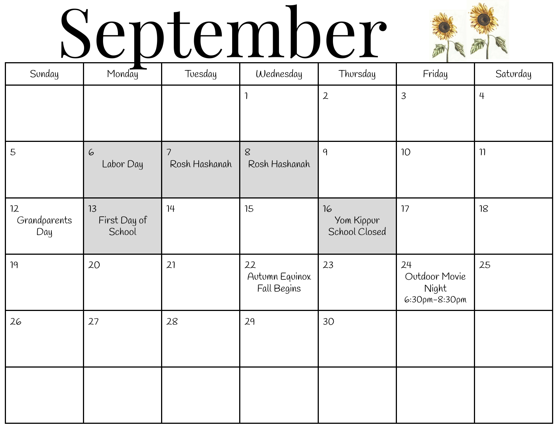## September



| Sunday                    | Monday                       | Toesday                         | Wednesday                           | Thorsday                          | Friday                                        | Saturday       |
|---------------------------|------------------------------|---------------------------------|-------------------------------------|-----------------------------------|-----------------------------------------------|----------------|
|                           |                              |                                 | 1                                   | $\mathbf{2}$                      | $\overline{3}$                                | $\overline{4}$ |
| 5                         | 6<br>Labor Day               | $\overline{7}$<br>Rosh Hashanah | $8\overline{8}$<br>Rosh Hashanah    | 9                                 | 10 <sup>°</sup>                               | $\eta$         |
| 12<br>Grandparents<br>Day | 13<br>First Day of<br>School | 14                              | 15                                  | 16<br>Yom Kippur<br>School Closed | 17                                            | $18$           |
| 19                        | 20                           | 21                              | 22<br>Autumn Equinox<br>Fall Begins | 23                                | 24<br>Outdoor Movie<br>Night<br>6:30pm-8:30pm | 25             |
| 26                        | 27                           | 28                              | 29                                  | 30                                |                                               |                |
|                           |                              |                                 |                                     |                                   |                                               |                |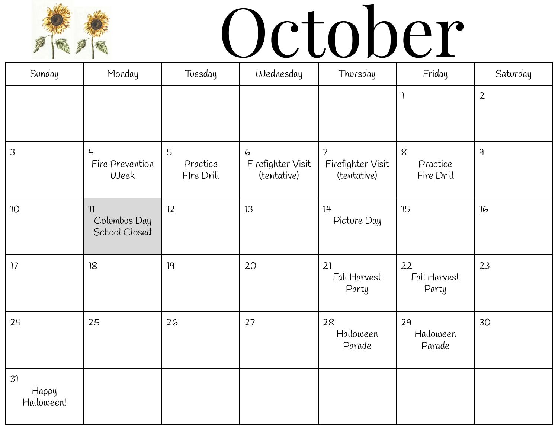

# October

| Sunday                    | Monday                                    | Tuesday                     | Wednesday                             | Thorsday                                                     | Friday                            | Saturday       |
|---------------------------|-------------------------------------------|-----------------------------|---------------------------------------|--------------------------------------------------------------|-----------------------------------|----------------|
|                           |                                           |                             |                                       |                                                              | 1                                 | $\overline{2}$ |
| $\overline{3}$            | $\overline{4}$<br>Fire Prevention<br>Week | 5<br>Practice<br>Fire Drill | 6<br>Firefighter Visit<br>(tentative) | $\overline{\phantom{a}}$<br>Firefighter Visit<br>(tentative) | $\,8\,$<br>Practice<br>Fire Drill | 9              |
| $10$                      | 11<br>Columbus Day<br>School Closed       | 12                          | 13                                    | 14<br>Picture Day                                            | 15                                | 16             |
| 17                        | 18                                        | 19                          | 20                                    | 21<br>Fall Harvest<br>Party                                  | 22<br>Fall Harvest<br>Party       | 23             |
| 24                        | 25                                        | 26                          | 27                                    | 28<br>Halloween<br>Parade                                    | 29<br>Halloween<br>Parade         | 30             |
| 31<br>Нарру<br>Halloween! |                                           |                             |                                       |                                                              |                                   |                |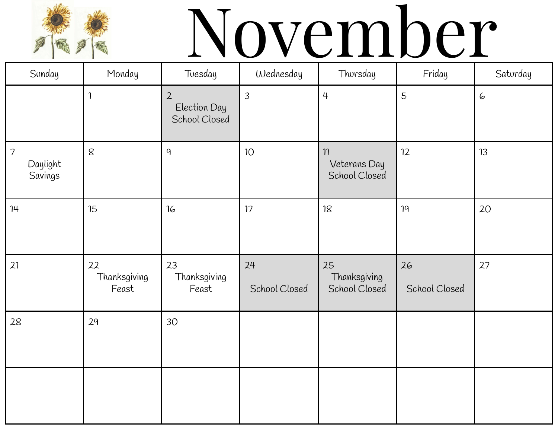

# November

| Sunday                                | Monday                      | Toesday                                         | Wednesday           | Thorsday                                | Friday              | Saturday |
|---------------------------------------|-----------------------------|-------------------------------------------------|---------------------|-----------------------------------------|---------------------|----------|
|                                       |                             | $\overline{2}$<br>Election Day<br>School Closed | $\overline{3}$      | $\overline{4}$                          | 5                   | 6        |
| $\overline{7}$<br>Daylight<br>Savings | $\,8\,$                     | 9                                               | 10 <sup>°</sup>     | $\eta$<br>Veterans Day<br>School Closed | 12                  | 13       |
| 14                                    | 15                          | 16                                              | 17                  | 18                                      | 19                  | 20       |
| 21                                    | 22<br>Thanksgiving<br>Feast | 23<br>Thanksgiving<br>Feast                     | 24<br>School Closed | 25<br>Thanksgiving<br>School Closed     | 26<br>School Closed | 27       |
| 28                                    | 29                          | 30                                              |                     |                                         |                     |          |
|                                       |                             |                                                 |                     |                                         |                     |          |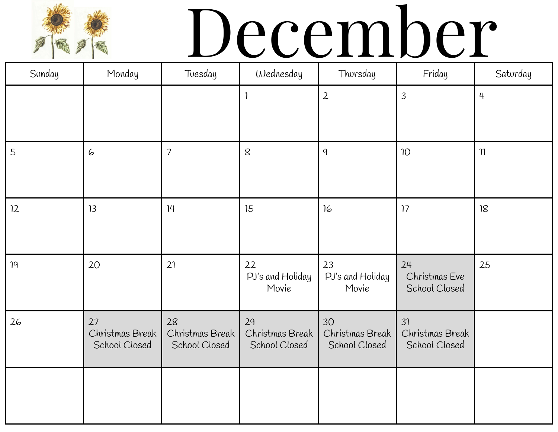# December

| Sonday | Monday                                 | Toesday                                | Wednesday                              | Thorsday                               | Friday                                 | Saturday       |
|--------|----------------------------------------|----------------------------------------|----------------------------------------|----------------------------------------|----------------------------------------|----------------|
|        |                                        |                                        | $\mathbf{1}$                           | $\overline{2}$                         | 3                                      | $\overline{4}$ |
| 5      | 6                                      | $\overline{\phantom{a}}$               | 8                                      | 9                                      | 10 <sup>°</sup>                        | 11             |
| 12     | 13                                     | 14                                     | 15                                     | 16                                     | 17                                     | 18             |
| 19     | 20                                     | 21                                     | 22<br>PJ's and Holiday<br>Movie        | 23<br>PJ's and Holiday<br>Movie        | 24<br>Christmas Eve<br>School Closed   | 25             |
| 26     | 27<br>Christmas Break<br>School Closed | 28<br>Christmas Break<br>School Closed | 29<br>Christmas Break<br>School Closed | 30<br>Christmas Break<br>School Closed | 31<br>Christmas Break<br>School Closed |                |
|        |                                        |                                        |                                        |                                        |                                        |                |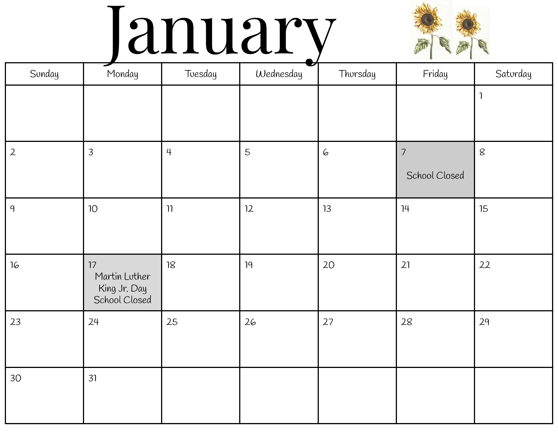### January



| Sonday         | Monday                                               | Toesday        | Wednesday | Thorsday | Friday         | Saturday                |
|----------------|------------------------------------------------------|----------------|-----------|----------|----------------|-------------------------|
|                |                                                      |                |           |          |                | $\overline{\mathbf{1}}$ |
|                |                                                      |                |           |          |                |                         |
| $\overline{2}$ | $\overline{3}$                                       | $\overline{4}$ | 5         | 6        | $\overline{7}$ | $\,8\,$                 |
|                |                                                      |                |           |          | School Closed  |                         |
| 9              | $10°$                                                | $\eta$         | 12        | 13       | 14             | 15                      |
|                |                                                      |                |           |          |                |                         |
| 16             | 17<br>Martin Lother<br>King Jr. Day<br>School Closed | $18$           | 19        | 20       | 21             | 22                      |
| 23             | 24                                                   | 25             | 26        | 27       | 28             | 29                      |
| 30             | 31                                                   |                |           |          |                |                         |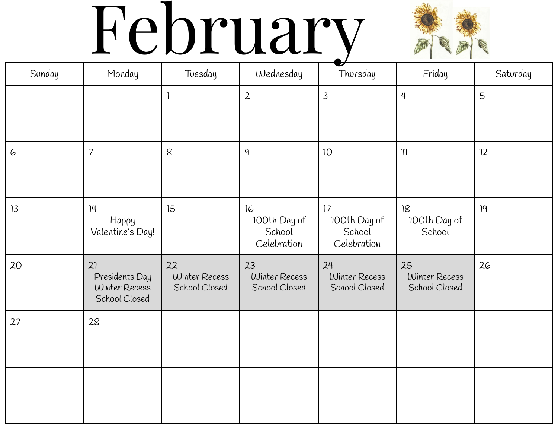## February



| Sunday | Monday                                                 | Toesday                              | Wednesday                                   | Thorsday                                    | Friday                               | Saturday |
|--------|--------------------------------------------------------|--------------------------------------|---------------------------------------------|---------------------------------------------|--------------------------------------|----------|
|        |                                                        | $\mathbf{1}$                         | $\overline{2}$                              | $\overline{3}$                              | $\overline{4}$                       | 5        |
| 6      | $\overline{\phantom{a}}$                               | $\,$ $\,$                            | 9                                           | 10 <sup>°</sup>                             | $\eta$                               | 12       |
| 13     | 14<br>Happy<br>Valentine's Day!                        | 15                                   | 16<br>100th Day of<br>School<br>Celebration | 17<br>100th Day of<br>School<br>Celebration | 18<br>100th Day of<br>School         | 19       |
| 20     | 21<br>Presidents Day<br>Winter Recess<br>School Closed | 22<br>Winter Recess<br>School Closed | 23<br>Winter Recess<br>School Closed        | 24<br>Winter Recess<br>School Closed        | 25<br>Winter Recess<br>School Closed | 26       |
| 27     | 28                                                     |                                      |                                             |                                             |                                      |          |
|        |                                                        |                                      |                                             |                                             |                                      |          |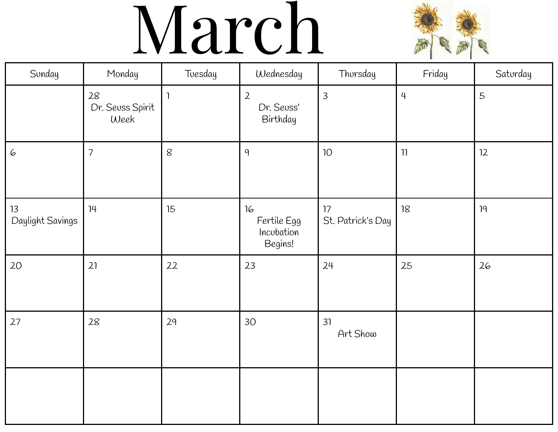#### March



| Sonday                 | Monday                         | Toesday      | Wednesday                                  | Thorsday                | Friday         | Saturday |
|------------------------|--------------------------------|--------------|--------------------------------------------|-------------------------|----------------|----------|
|                        | 28<br>Dr. Seuss Spirit<br>Week | $\mathbf{1}$ | $\overline{2}$<br>Dr. Seuss'<br>Birthday   | $\overline{3}$          | $\overline{4}$ | 5        |
| 6                      | $\overline{\phantom{a}}$       | $\delta$     | 9                                          | 10 <sup>°</sup>         | $\eta$         | 12       |
| 13<br>Daylight Savings | 14                             | 15           | 16<br>Fertile Egg<br>Incubation<br>Begins! | 17<br>St. Patrick's Day | 18             | 19       |
| 20                     | 21                             | 22           | 23                                         | 24                      | 25             | 26       |
| 27                     | 28                             | 29           | 30                                         | 31<br>Art Show          |                |          |
|                        |                                |              |                                            |                         |                |          |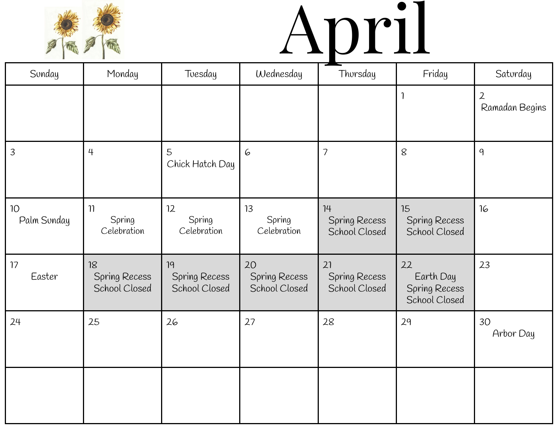

# April

| Sunday            | Monday                                      | Toesday                              | Wednesday                            | Thorsday                             | Friday                                            | Saturday                         |
|-------------------|---------------------------------------------|--------------------------------------|--------------------------------------|--------------------------------------|---------------------------------------------------|----------------------------------|
|                   |                                             |                                      |                                      |                                      | 1                                                 | $\mathfrak{2}$<br>Ramadan Begins |
| $\overline{3}$    | $\overline{4}$                              | 5<br>Chick Hatch Day                 | 6                                    | $\overline{7}$                       | 8                                                 | 9                                |
| 10<br>Palm Sunday | $\eta$<br>Spring<br>Celebration             | 12<br>Spring<br>Celebration          | 13<br>Spring<br>Celebration          | 14<br>Spring Recess<br>School Closed | 15<br>Spring Recess<br>School Closed              | 16                               |
| 17<br>Easter      | 18<br><b>Spring Recess</b><br>School Closed | 19<br>Spring Recess<br>School Closed | 20<br>Spring Recess<br>School Closed | 21<br>Spring Recess<br>School Closed | 22<br>Earth Day<br>Spring Recess<br>School Closed | 23                               |
| 24                | 25                                          | 26                                   | 27                                   | 28                                   | 29                                                | 30<br>Arbor Day                  |
|                   |                                             |                                      |                                      |                                      |                                                   |                                  |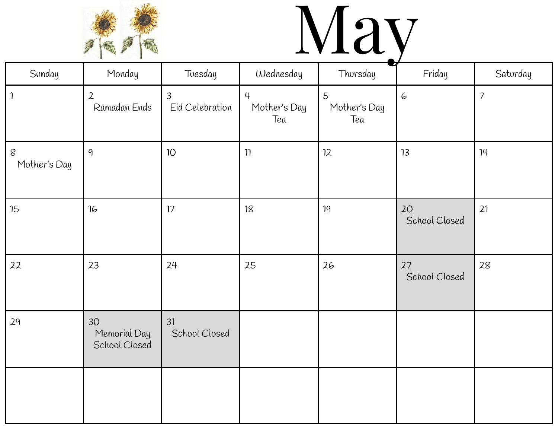

## May

| Sunday                  | Monday                              | Toesday                           | Wednesday                             | Thorsday                 | Friday              | Saturday       |
|-------------------------|-------------------------------------|-----------------------------------|---------------------------------------|--------------------------|---------------------|----------------|
| $\mathbf{1}$            | $\overline{2}$<br>Ramadan Ends      | $\overline{3}$<br>Eid Celebration | $\overline{4}$<br>Mother's Day<br>Tea | 5<br>Mother's Day<br>Tea | 6                   | $\overline{7}$ |
| $\,8\,$<br>Mother's Day | 9                                   | 10 <sup>°</sup>                   | $\eta$                                | 12                       | 13                  | 14             |
| 15                      | 16                                  | 17                                | 18                                    | 19                       | 20<br>School Closed | 21             |
| 22                      | 23                                  | 24                                | 25                                    | 26                       | 27<br>School Closed | 28             |
| 29                      | 30<br>Memorial Day<br>School Closed | 31<br>School Closed               |                                       |                          |                     |                |
|                         |                                     |                                   |                                       |                          |                     |                |